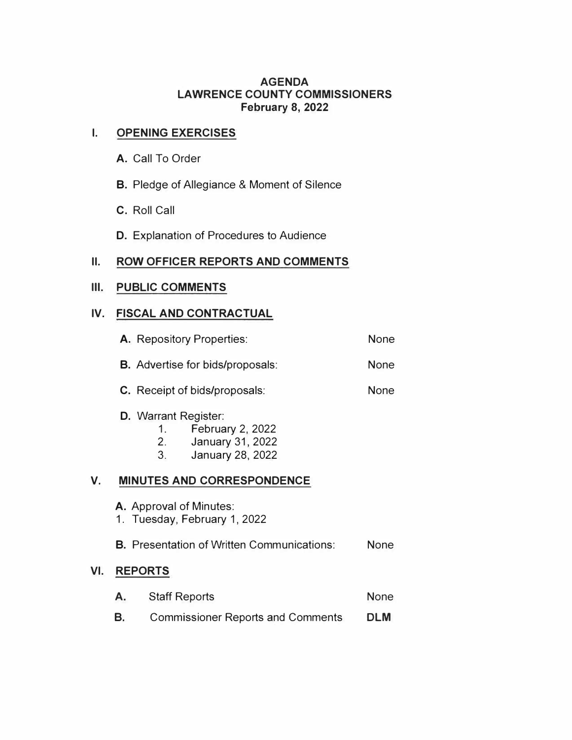#### **AGENDA LAWRENCE COUNTY COMMISSIONERS February 8, 2022**

## **I. OPENING EXERCISES**

- **A.** Call To Order
- **B.** Pledge of Allegiance & Moment of Silence
- **C.** Roll Call
- **D.** Explanation of Procedures to Audience

# **II. ROW OFFICER REPORTS AND COMMENTS**

#### **III.** PUBLIC COMMENTS

# **IV. FISCAL AND CONTRACTUAL**

|     | <b>A.</b> Repository Properties:                        | <b>None</b>                                                                                                          |             |
|-----|---------------------------------------------------------|----------------------------------------------------------------------------------------------------------------------|-------------|
|     | <b>B.</b> Advertise for bids/proposals:                 | <b>None</b>                                                                                                          |             |
|     | <b>C.</b> Receipt of bids/proposals:                    |                                                                                                                      |             |
|     |                                                         | <b>D.</b> Warrant Register:<br><b>February 2, 2022</b><br>1.<br>2. January 31, 2022<br><b>January 28, 2022</b><br>3. |             |
| V.  |                                                         | <b>MINUTES AND CORRESPONDENCE</b>                                                                                    |             |
|     | A. Approval of Minutes:<br>1. Tuesday, February 1, 2022 |                                                                                                                      |             |
|     |                                                         | <b>B.</b> Presentation of Written Communications:                                                                    | <b>None</b> |
| VI. |                                                         | <b>REPORTS</b>                                                                                                       |             |
|     | Α.                                                      | <b>Staff Reports</b>                                                                                                 | <b>None</b> |
|     | В.                                                      | <b>Commissioner Reports and Comments</b>                                                                             | <b>DLM</b>  |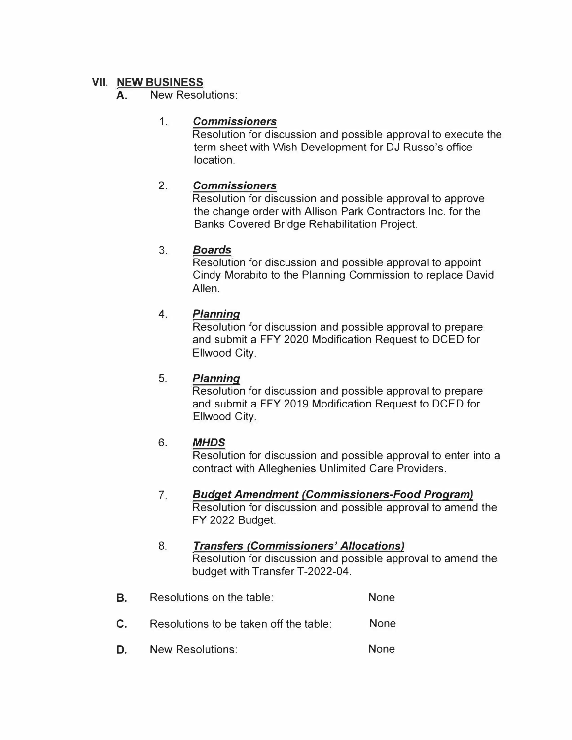#### **VII. NEW BUSINESS**

#### A. New Resolutions:

## 1 . *Commissioners*

Resolution for discussion and possible approval to execute the term sheet with Wish Development for DJ Russo's office location.

## 2. *Commissioners*

Resolution for discussion and possible approval to approve the change order with Allison Park Contractors Inc. for the Banks Covered Bridge Rehabilitation Project.

## 3. *Boards*

Resolution for discussion and possible approval to appoint Cindy Morabito to the Planning Commission to replace David Allen.

## **4.** *Planning*

Resolution for discussion and possible approval to prepare and submit a FFY 2020 Modification Request to DCED for Ellwood City.

#### 5. *Planning*

Resolution for discussion and possible approval to prepare and submit a FFY 2019 Modification Request to DCED for Ellwood City.

# 6. *MHDS*

Resolution for discussion and possible approval to enter into a contract with Alleghenies Unlimited Care Providers.

#### 7. *Budget Amendment (Commissioners-Food Program)* Resolution for discussion and possible approval to amend the FY 2022 Budget.

#### 8. *Transfers (Commissioners' Allocations)* Resolution for discussion and possible approval to amend the budget with Transfer T-2022-04.

- **B. C.**  Resolutions on the table: None None Resolutions to be taken off the table:
- **D.**  None New Resolutions: